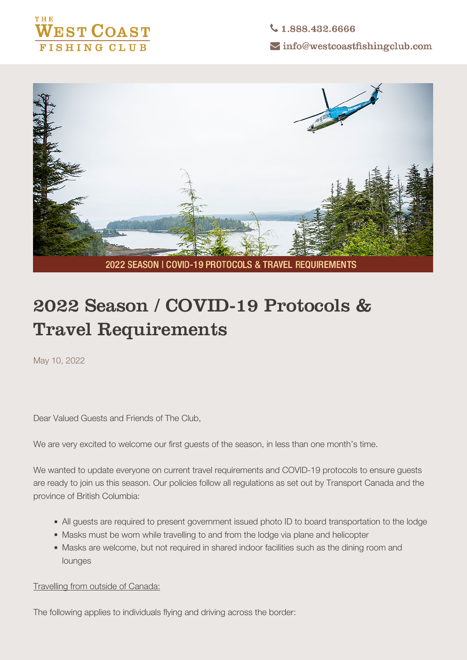

 $\bigcup$  1.888.432.6666  $\sim$  info@westcoastfishingclub.com



2022 SEASON I COVID-19 PROTOCOLS & TRAVEL REQUIREMENTS

## **2022 Season / COVID-19 Protocols & Travel Requirements**

May 10, 2022

Dear Valued Guests and Friends of The Club,

We are very excited to welcome our first guests of the season, in less than one month's time.

We wanted to update everyone on current travel requirements and COVID-19 protocols to ensure guests are ready to join us this season. Our policies follow all regulations as set out by Transport Canada and the province of British Columbia:

- **All guests are required to present government issued photo ID to board transportation to the lodge**
- **Masks must be worn while travelling to and from the lodge via plane and helicopter**
- **Masks are welcome, but not required in shared indoor facilities such as the dining room and lounges**

Travelling from outside of Canada:

The following applies to individuals flying and driving across the border: